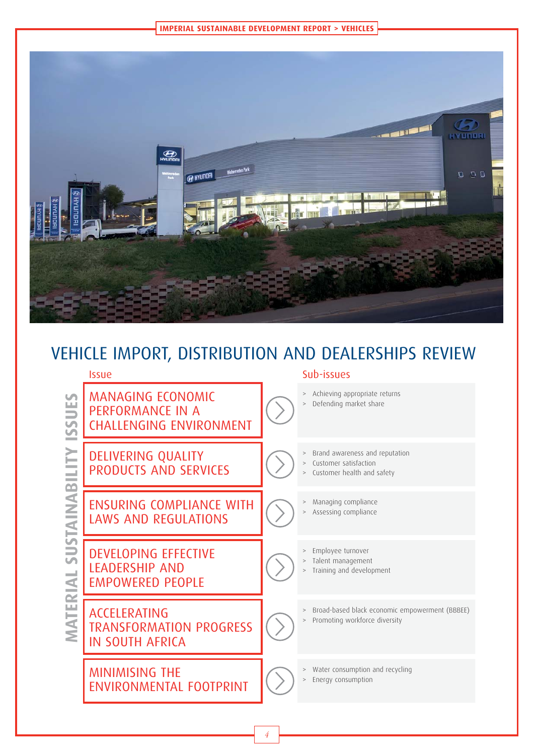



# VEHICLE IMPORT, DISTRIBUTION AND DEALERSHIPS REVIEW

### Issue Sub-issues MANAGING ECONOMIC<br>
PERFORMANCE IN A<br>
CHALLENGING ENVIRON<br>
DELIVERING QUALITY<br>
PRODUCTS AND SERVIC<br>
ENSURING COMPLIANCE<br>
LAWS AND REGULATION<br>
LAWS AND REGULATION<br>
LEADERSHIP AND<br>
EMPOWERED PEOPLE<br>
ACCELERATING<br>
TRANSFORMATI PERFORMANCE IN A CHALLENGING ENVIRONMENT > Achieving appropriate returns > Defending market share DELIVERING QUALITY PRODUCTS AND SERVICES > Brand awareness and reputation > Customer satisfaction Customer health and safety ENSURING COMPLIANCE WITH LAWS AND REGULATIONS > Managing compliance Assessing compliance DEVELOPING EFFECTIVE LEADERSHIP AND EMPOWERED PEOPLE > Employee turnover > Talent management > Training and development ACCELERATING TRANSFORMATION PROGRESS IN SOUTH AFRICA > Broad-based black economic empowerment (BBBEE) > Promoting workforce diversity MINIMISING THE ENVIRONMENTAL FOOTPRINT > Water consumption and recycling > Energy consumption

4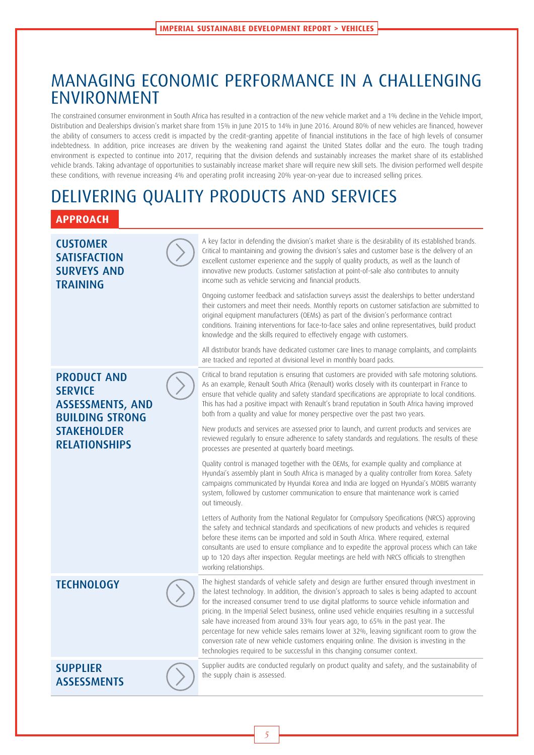# MANAGING ECONOMIC PERFORMANCE IN A CHALLENGING ENVIRONMENT

The constrained consumer environment in South Africa has resulted in a contraction of the new vehicle market and a 1% decline in the Vehicle Import, Distribution and Dealerships division's market share from 15% in June 2015 to 14% in June 2016. Around 80% of new vehicles are financed, however the ability of consumers to access credit is impacted by the credit-granting appetite of financial institutions in the face of high levels of consumer indebtedness. In addition, price increases are driven by the weakening rand against the United States dollar and the euro. The tough trading environment is expected to continue into 2017, requiring that the division defends and sustainably increases the market share of its established vehicle brands. Taking advantage of opportunities to sustainably increase market share will require new skill sets. The division performed well despite these conditions, with revenue increasing 4% and operating profit increasing 20% year-on-year due to increased selling prices.

# DELIVERING QUALITY PRODUCTS AND SERVICES

# **APPROACH**

## **CUSTOMFR SATISFACTION** SURVEYS AND TRAINING

## PRODUCT AND **SERVICE** ASSESSMENTS, AND BUILDING STRONG STAKFHOLDER RELATIONSHIPS

A key factor in defending the division's market share is the desirability of its established brands. Critical to maintaining and growing the division's sales and customer base is the delivery of an excellent customer experience and the supply of quality products, as well as the launch of innovative new products. Customer satisfaction at point-of-sale also contributes to annuity income such as vehicle servicing and financial products.

Ongoing customer feedback and satisfaction surveys assist the dealerships to better understand their customers and meet their needs. Monthly reports on customer satisfaction are submitted to original equipment manufacturers (OEMs) as part of the division's performance contract conditions. Training interventions for face-to-face sales and online representatives, build product knowledge and the skills required to effectively engage with customers.

All distributor brands have dedicated customer care lines to manage complaints, and complaints are tracked and reported at divisional level in monthly board packs.

Critical to brand reputation is ensuring that customers are provided with safe motoring solutions. As an example, Renault South Africa (Renault) works closely with its counterpart in France to ensure that vehicle quality and safety standard specifications are appropriate to local conditions. This has had a positive impact with Renault's brand reputation in South Africa having improved both from a quality and value for money perspective over the past two years.

New products and services are assessed prior to launch, and current products and services are reviewed regularly to ensure adherence to safety standards and regulations. The results of these processes are presented at quarterly board meetings.

Quality control is managed together with the OEMs, for example quality and compliance at Hyundai's assembly plant in South Africa is managed by a quality controller from Korea. Safety campaigns communicated by Hyundai Korea and India are logged on Hyundai's MOBIS warranty system, followed by customer communication to ensure that maintenance work is carried out timeously.

Letters of Authority from the National Regulator for Compulsory Specifications (NRCS) approving the safety and technical standards and specifications of new products and vehicles is required before these items can be imported and sold in South Africa. Where required, external consultants are used to ensure compliance and to expedite the approval process which can take up to 120 days after inspection. Regular meetings are held with NRCS officials to strengthen working relationships.

TECHNOLOGY The highest standards of vehicle safety and design are further ensured through investment in the latest technology. In addition, the division's approach to sales is being adapted to account for the increased consumer trend to use digital platforms to source vehicle information and pricing. In the Imperial Select business, online used vehicle enquiries resulting in a successful sale have increased from around 33% four years ago, to 65% in the past year. The percentage for new vehicle sales remains lower at 32%, leaving significant room to grow the conversion rate of new vehicle customers enquiring online. The division is investing in the technologies required to be successful in this changing consumer context.

**SUPPLIER** ASSESSMENTS Supplier audits are conducted regularly on product quality and safety, and the sustainability of the supply chain is assessed.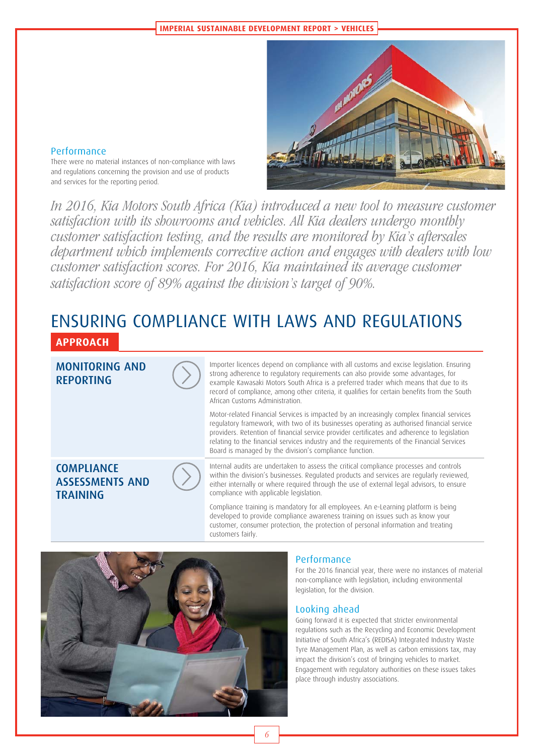

### Performance

There were no material instances of non-compliance with laws and regulations concerning the provision and use of products and services for the reporting period.

In 2016, Kia Motors South Africa (Kia) introduced a new tool to measure customer satisfaction with its showrooms and vehicles. All Kia dealers undergo monthly customer satisfaction testing, and the results are monitored by Kia's aftersales department which implements corrective action and engages with dealers with low customer satisfaction scores. For 2016, Kia maintained its average customer satisfaction score of 89% against the division's target of 90%.

# ENSURING COMPLIANCE WITH LAWS AND REGULATIONS

## **APPROACH**



**COMPLIANCE** 

TRAINING

ASSESSMENTS AND

Importer licences depend on compliance with all customs and excise legislation. Ensuring strong adherence to regulatory requirements can also provide some advantages, for example Kawasaki Motors South Africa is a preferred trader which means that due to its record of compliance, among other criteria, it qualifies for certain benefits from the South African Customs Administration.

Motor-related Financial Services is impacted by an increasingly complex financial services regulatory framework, with two of its businesses operating as authorised financial service providers. Retention of financial service provider certificates and adherence to legislation relating to the financial services industry and the requirements of the Financial Services Board is managed by the division's compliance function.

Internal audits are undertaken to assess the critical compliance processes and controls within the division's businesses. Regulated products and services are regularly reviewed, either internally or where required through the use of external legal advisors, to ensure compliance with applicable legislation.

Compliance training is mandatory for all employees. An e-Learning platform is being developed to provide compliance awareness training on issues such as know your customer, consumer protection, the protection of personal information and treating customers fairly.



### Performance

For the 2016 financial year, there were no instances of material non-compliance with legislation, including environmental legislation, for the division.

### Looking ahead

Going forward it is expected that stricter environmental regulations such as the Recycling and Economic Development Initiative of South Africa's (REDISA) Integrated Industry Waste Tyre Management Plan, as well as carbon emissions tax, may impact the division's cost of bringing vehicles to market. Engagement with regulatory authorities on these issues takes place through industry associations.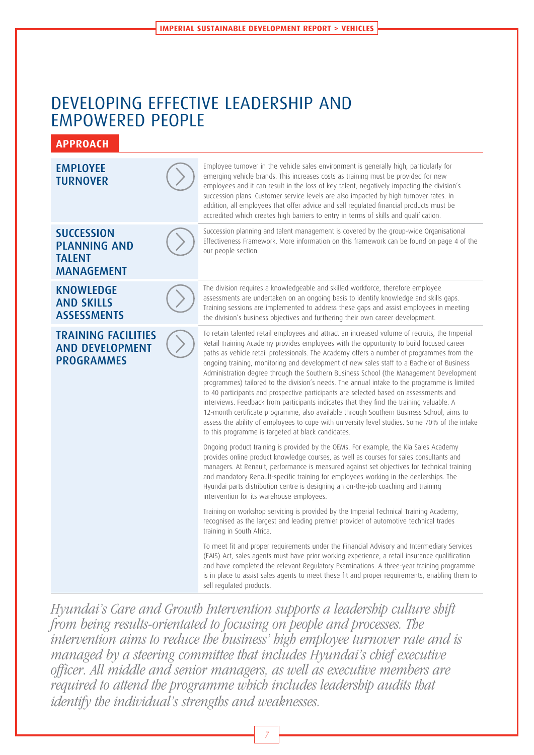# DEVELOPING EFFECTIVE LEADERSHIP AND EMPOWERED PEOPLE



Hyundai's Care and Growth Intervention supports a leadership culture shift from being results-orientated to focusing on people and processes. The intervention aims to reduce the business' high employee turnover rate and is managed by a steering committee that includes Hyundai's chief executive officer. All middle and senior managers, as well as executive members are required to attend the programme which includes leadership audits that identify the individual's strengths and weaknesses.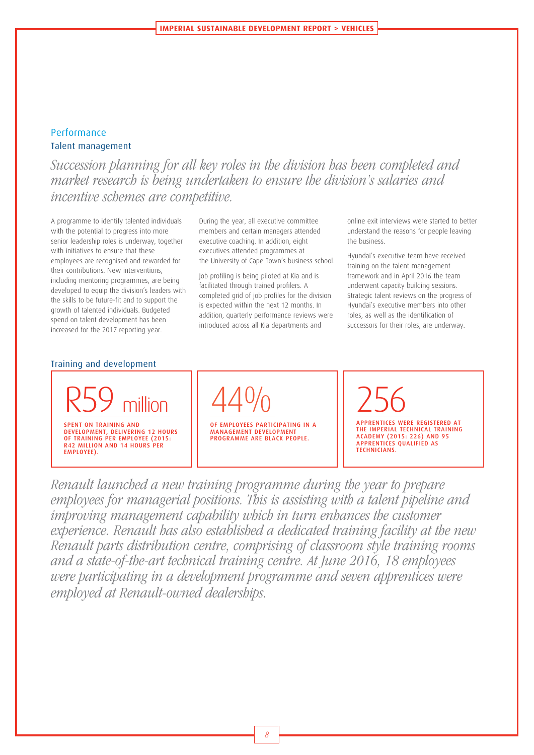### Performance Talent management

Succession planning for all key roles in the division has been completed and market research is being undertaken to ensure the division's salaries and incentive schemes are competitive.

A programme to identify talented individuals with the potential to progress into more senior leadership roles is underway, together with initiatives to ensure that these employees are recognised and rewarded for their contributions. New interventions, including mentoring programmes, are being developed to equip the division's leaders with the skills to be future-fit and to support the growth of talented individuals. Budgeted spend on talent development has been increased for the 2017 reporting year.

During the year, all executive committee members and certain managers attended executive coaching. In addition, eight executives attended programmes at the University of Cape Town's business school.

Job profiling is being piloted at Kia and is facilitated through trained profilers. A completed grid of job profiles for the division is expected within the next 12 months. In addition, quarterly performance reviews were introduced across all Kia departments and

online exit interviews were started to better understand the reasons for people leaving the business.

Hyundai's executive team have received training on the talent management framework and in April 2016 the team underwent capacity building sessions. Strategic talent reviews on the progress of Hyundai's executive members into other roles, as well as the identification of successors for their roles, are underway.

#### Training and development



44%

OF EMPLOYEES PARTICIPATING IN A MANAGEMENT DEVELOPMENT PROGRAMME ARE BLACK PEOPLE.

256 APPRENTICES WERE REGISTERED AT THE IMPERIAL TECHNICAL TRAINING ACADEMY (2015: 226) AND 95 APPRENTICES QUALIFIED AS TECHNICIANS.

Renault launched a new training programme during the year to prepare employees for managerial positions. This is assisting with a talent pipeline and improving management capability which in turn enhances the customer experience. Renault has also established a dedicated training facility at the new Renault parts distribution centre, comprising of classroom style training rooms and a state-of-the-art technical training centre. At June 2016, 18 employees were participating in a development programme and seven apprentices were employed at Renault-owned dealerships.